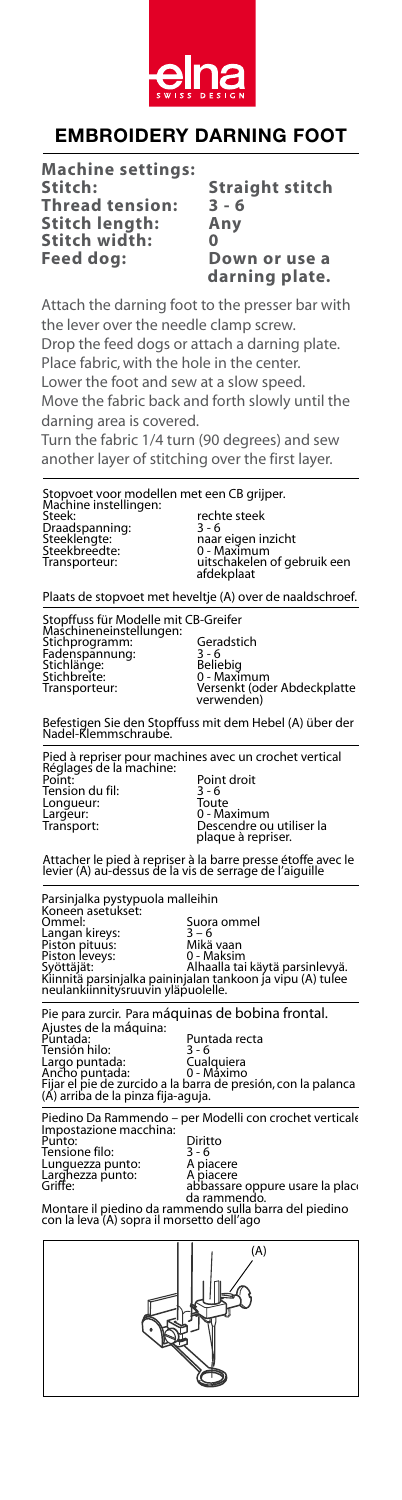

## **EMBROIDERY DARNING FOOT**

**Machine settings: Thread tension: 3 - 6 Stitch length:** A<br>Stitch width: 0 **Stitch width: 0**

Straight stitch<br>3 - 6 **Down or use a darning plate.**

Attach the darning foot to the presser bar with the lever over the needle clamp screw. Drop the feed dogs or attach a darning plate. Place fabric, with the hole in the center.

Lower the foot and sew at a slow speed.

Move the fabric back and forth slowly until the darning area is covered.

Turn the fabric 1/4 turn (90 degrees) and sew another layer of stitching over the first layer.

Stopvoet voor modellen met een CB grijper.<br>Machine instellingen: mechte steek<br>Steek: 1986 - 1987 - 1988<br>Draadspanning: 1988 - 1988 - 1988 - 1988 - 1988 - 1988 - 1988 - 1988 - 1988 - 1988 - 1988 - 1988 - 1988 - 198 Steek: rechte steek Draadspanning: 3 - 6 Steeklengte: naar eigen inzicht Steekbreedte: 0 - Maximum Transporteur: uitschakelen of gebruik een afdekplaat

Plaats de stopvoet met heveltje (A) over de naaldschroef.

Stopffuss für Modelle mit CB-Greifer Maschineneinstellungen: Stichprogramm: Geradstich Fadenspannung: 3 - 6 Stichlänge: Beliebig Stichbreite: 0 - Maximum

Maschinleinisteinungen:<br>Stichprogramm: Geradstich<br>Fadenspannung: 3 - 6<br>Stichbreite: Beliebig<br>Stichbreite: 0 - Maximum<br>Transporteur: Versenkt (oder Abdeckplatte<br>Verwenden)

Befestigen Sie den Stopffuss mit dem Hebel (A) über der<br>Nadel-Klemmschraube.

Pied à repriser pour machines avec un crochet vertical<br>Réglages de la machine:<br>Point: Point droit<br>Tension du fil: 3 - 6<br>Longueur: 1<br>Pointed in Tay Longueur: Toute Largeur: 0 - Maximum Transport: Descendre ou utiliser la plaque à repriser.

Attacher le pied à repriser à la barre presse étoffe avec le levier (A) au-dessus de la vis de serrage de l'aiguille Paque a re<br>Attacher le pied à repriser à la barre pre<br>
levier (A) au-dessus de la vis de serrage

rusmisen a pystypeera manemmi<br>Koneen asetukset: Suora ommel<br>Ommel: Suora ommel Parsinjalka pystypuola malleihin<br>Koneen asetukset: Langan kireys: 3 – 6 Piston pituus: Mikä vaan Piston leveys: 0 - Maksim Syöttäjät: ´<br>Kiinnitä parsinjalka paininjalan tankoon ja vipu (A) tulee<br>neulankiinnitysruuvin yläpuolelle. Pie para zurcir. Para máquinas de bobina frontal. Parsinjalka pystypuola malleihin Koneen asetukset: <br>Ommel: Kiinnisä parsininga parasininel<br>Langan kireys: tulee neulankiinnitys Pie para zurcir. Para máquinas de bobina frontal. Ajustes de la máquina: Puntada: Puntada recta Tensión hilo: 3 - 6

Ajustes de la máquina: Puntada: Puntada recta Tensión hilo: 3 - 6 Fijar el pie de zurcido a la barra de presión, con la palanca (A) arriba de la pinza fija-aguja. Largo puntada: Cualquiera Ancho puntada: 0 - Máximo Fijar el pie de zurcido a la barra de presión, con la palanca<br>(A) arriba de la pinza fija-aguja. - per Modelli con crochet verticale Piedino Da Rammendo -<br>Impostazione macchina:<br>Punto:<br>Tensione filo: Piedino Da Rammendo – per Modelli con crochet verticale Impostazione macchina: Punto: Diritto Tensione filo: 3 - 6 Piedino Da Rammendo – per Modelli con crochet verticale<br>Impostazione macchina: <br>
populacione usare usare usare la placere la place la place la place la place

No. 2006.<br>The place is a placere<br>A placere in the intervals of the intervals of the intervals of the intervals of the intervals of the interval Punto: Diritto Tensione filo: 3 - 6 Lunguezza punto: A piacere Larghezza punto: A piacere Griffe: abbassare oppure usare la placca da rammendo. Montare il piedino da rammendo sulla barra del piedino con la leva (A) sopra il morsetto dell'ago

da rammendo.<br>Montare il piedino da rammendo sulla barra del piedino<br>con la leva (A) sopra il morsetto dell'ago

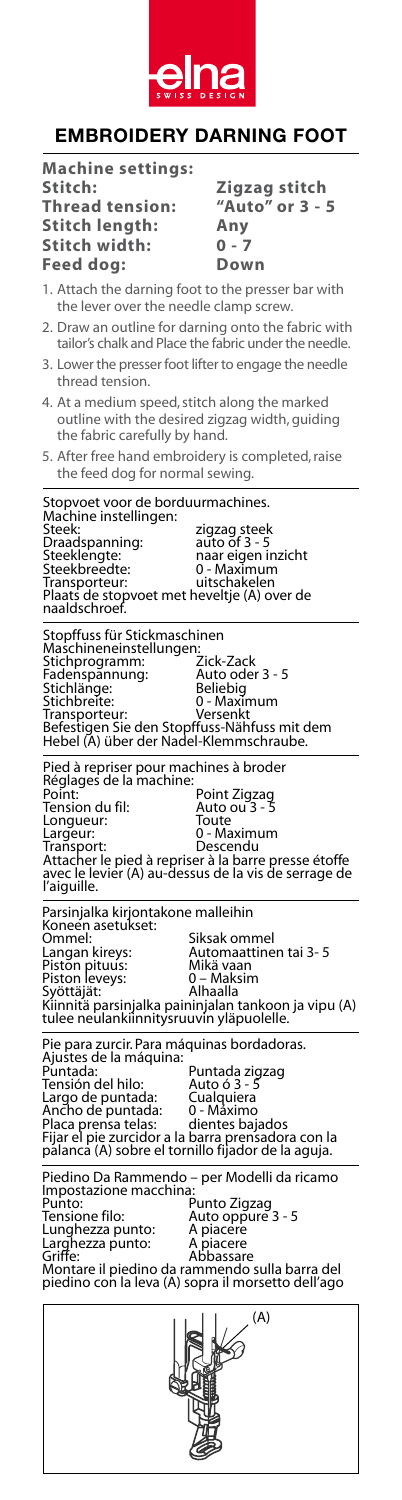

## **EMBROIDERY DARNING FOOT**

**Machine settings: Stitch: Zigzag stitch Thread tension:** "Au<br>Stitch length: Any **Stitch length: Stitch width: 0 - 7 Feed dog: Down** 1. Attach the darning foot to the presser bar with the lever over the needle clamp screw. 2. Draw an outline for darning onto the fabric with tailor's chalk and Place the fabric under the needle. 3. Lower the presser foot lifter to engage the needle thread tension. 4. At a medium speed, stitch along the marked outline with the desired zigzag width, guiding the fabric carefully by hand. 5. After free hand embroidery is completed, raise the feed dog for normal sewing. Stopvoet voor de borduurmachines. Machine instellingen: Steek: zigzag steek Draadspanning: auto of 3 - 5 Steeklengte: naar eigen inzicht Steekbreedte: 0 - Maximum Transporteur: uitschakelen Plaats de stopvoet met heveltje (A) over de naaldschroef. Stopffuss für Stickmaschinen Maschineneinstellungen:<br>Stichprogramm: 7ick-7ack Stichprogramm: Zick-Zack Fadenspannung: Auto oder 3 - 5 Stichlänge: Beliebig Stichbreite: 0 - Maximum Transporteur: Versenkt Befestigen Sie den Stopffuss-Nähfuss mit dem Hebel (A) über der Nadel-Klemmschraube. Pied à repriser pour machines à broder Réglages de la machine: Point: Point Zigzag Tension du fil: Auto ou 3 - 5 Part No. 200-325-000 Contents made in Japan Printed in Taiwan Longueur: Toute Largeur: 0 - Maximum Transport: Descendu Attacher le pied à repriser à la barre presse étoffe avec le levier (A) au-dessus de la vis de serrage de l'aiguille. (A) Parsinjalka kirjontakone malleihin<br>Koneen asetukset:<br>Ommel: Unitablishin Siksak ommel Langan kireys: Automaattinen tai 3- 5 Langan kireys: Automaattinen tai 3- 5 Langan kireys: Automaattine<br>Piston pituus: Mikä vaan<br>Piston leveys: 0 – Maksim Piston pituus: Mikä vaan Piston leveys: 0 – Maksim Syöttäjät: Alhaalla Kiinnitä parsinjalka paininjalan tankoon ja vipu (A) tulee neulankiinnitysruuvin yläpuolelle. Syöttäjät: ´ Alhaalla<br>Kiinnitä parsinjalka paininjalan tankoon ja vipu (A)<br>tulee neulankiinnitysruuvin yläpuolelle. Pie para zurcir. Para máquinas bordadoras. Ajustes de la máquina: Pie para zurcir. Para máquinas bordadoras. Ajustes de la máquina: Ajustes de la filaquina.<br>Puntada: Auto ó 3 - 5<br>Tensión del hilo: Auto ó 3 - 5<br>Largo de puntada: Q - Máximo<br>Ancho de puntada: Q - Máximo r untada.<br>Tensión del hilo:<br>Largo de puntada: Largo de puntada: Cualquiera<br>Ancho de puntada: 0 - Máximo Ancho de puntada: 0 - Máximo<br>Placa prensa telas: dientes baj Placa prensa telas: dientes bajados<br>Fijar el pie zurcidor a la barra prensadora con la<br>palanca (A) sobre el tornillo fijador de la aguja. Fijar el pie zurcidor a la barra prensadora con la<br>palanca (A) sobre el tornillo fijador de la aguja.<br>-<u>No. 200-325-310</u> Contents made in Japan Printed in Taiwan Piedino Da Rammendo – per Modelli da ricamo Impostazione macchina: Piedino Da Rammendo – per Modelli da ricamo Impostazione macchina: Punto: Punto Zigzag Tensione filo: Auto oppure 3 - 5 Punto: Punto Zigzag Tensione filo: Auto oppure 3 - 5 Lunghezza punto: A piacere<br>Larghezza punto: A piacere<br>Griffe: Abbassare<br>Montare il piedino da rammendo sulla barra del<br>piedino con la leva (A) sopra il morsetto dell'ago (A) (A)  $\mathscr{C}$